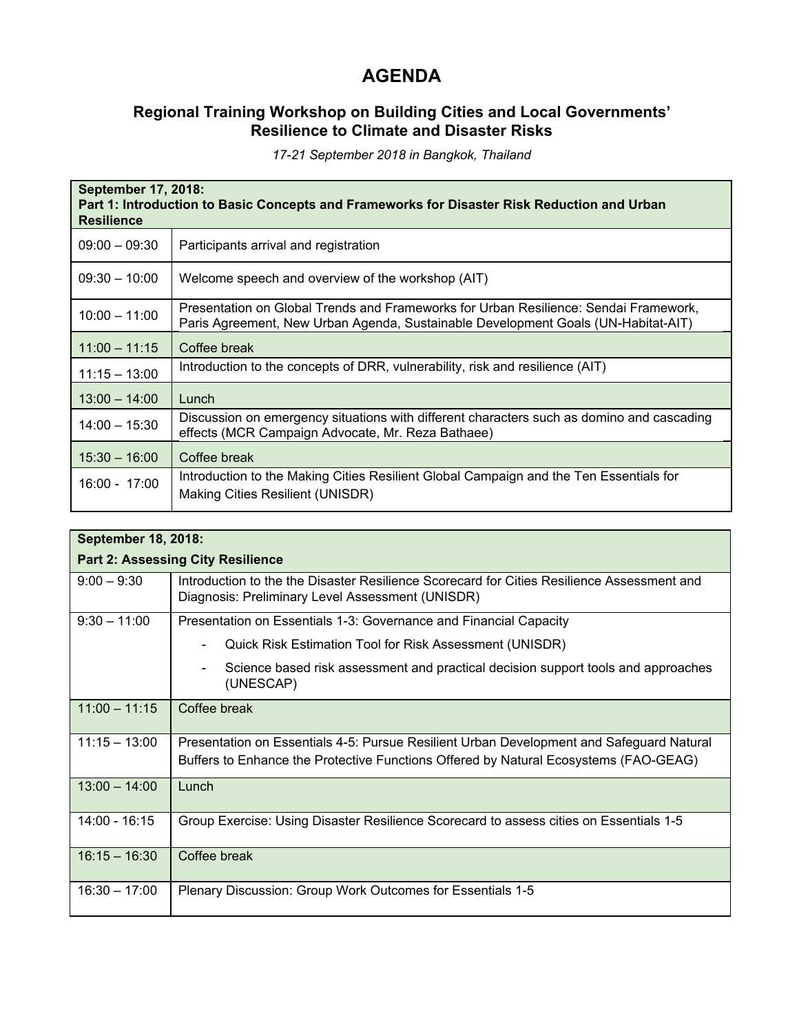## **AGENDA**

## **Regional Training Workshop on Building Cities and Local Governments' Resilience to Climate and Disaster Risks**

*17-21 September 2018 in Bangkok, Thailand*

| September 17, 2018:<br>Part 1: Introduction to Basic Concepts and Frameworks for Disaster Risk Reduction and Urban<br><b>Resilience</b> |                                                                                                                                                                           |  |
|-----------------------------------------------------------------------------------------------------------------------------------------|---------------------------------------------------------------------------------------------------------------------------------------------------------------------------|--|
| $09:00 - 09:30$                                                                                                                         | Participants arrival and registration                                                                                                                                     |  |
| $09:30 - 10:00$                                                                                                                         | Welcome speech and overview of the workshop (AIT)                                                                                                                         |  |
| $10:00 - 11:00$                                                                                                                         | Presentation on Global Trends and Frameworks for Urban Resilience: Sendai Framework,<br>Paris Agreement, New Urban Agenda, Sustainable Development Goals (UN-Habitat-AIT) |  |
| $11:00 - 11:15$                                                                                                                         | Coffee break                                                                                                                                                              |  |
| $11:15 - 13:00$                                                                                                                         | Introduction to the concepts of DRR, vulnerability, risk and resilience (AIT)                                                                                             |  |
| $13:00 - 14:00$                                                                                                                         | Lunch                                                                                                                                                                     |  |
| $14:00 - 15:30$                                                                                                                         | Discussion on emergency situations with different characters such as domino and cascading<br>effects (MCR Campaign Advocate, Mr. Reza Bathaee)                            |  |
| $15:30 - 16:00$                                                                                                                         | Coffee break                                                                                                                                                              |  |
| $16:00 - 17:00$                                                                                                                         | Introduction to the Making Cities Resilient Global Campaign and the Ten Essentials for<br>Making Cities Resilient (UNISDR)                                                |  |

| September 18, 2018:                      |                                                                                                                                                                                  |  |
|------------------------------------------|----------------------------------------------------------------------------------------------------------------------------------------------------------------------------------|--|
| <b>Part 2: Assessing City Resilience</b> |                                                                                                                                                                                  |  |
| $9:00 - 9:30$                            | Introduction to the the Disaster Resilience Scorecard for Cities Resilience Assessment and<br>Diagnosis: Preliminary Level Assessment (UNISDR)                                   |  |
| $9:30 - 11:00$                           | Presentation on Essentials 1-3: Governance and Financial Capacity                                                                                                                |  |
|                                          | Quick Risk Estimation Tool for Risk Assessment (UNISDR)                                                                                                                          |  |
|                                          | Science based risk assessment and practical decision support tools and approaches<br>$\blacksquare$<br>(UNESCAP)                                                                 |  |
| $11:00 - 11:15$                          | Coffee break                                                                                                                                                                     |  |
| $11:15 - 13:00$                          | Presentation on Essentials 4-5: Pursue Resilient Urban Development and Safeguard Natural<br>Buffers to Enhance the Protective Functions Offered by Natural Ecosystems (FAO-GEAG) |  |
| $13:00 - 14:00$                          | $L$ unch                                                                                                                                                                         |  |
| $14:00 - 16:15$                          | Group Exercise: Using Disaster Resilience Scorecard to assess cities on Essentials 1-5                                                                                           |  |
| $16:15 - 16:30$                          | Coffee break                                                                                                                                                                     |  |
| $16:30 - 17:00$                          | Plenary Discussion: Group Work Outcomes for Essentials 1-5                                                                                                                       |  |